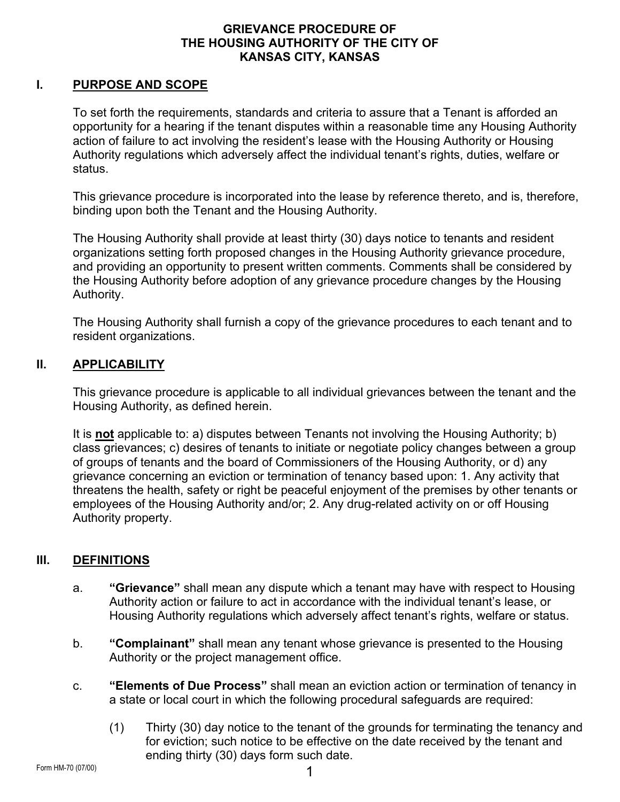#### **GRIEVANCE PROCEDURE OF THE HOUSING AUTHORITY OF THE CITY OF KANSAS CITY, KANSAS**

#### **I. PURPOSE AND SCOPE**

To set forth the requirements, standards and criteria to assure that a Tenant is afforded an opportunity for a hearing if the tenant disputes within a reasonable time any Housing Authority action of failure to act involving the resident's lease with the Housing Authority or Housing Authority regulations which adversely affect the individual tenant's rights, duties, welfare or status.

This grievance procedure is incorporated into the lease by reference thereto, and is, therefore, binding upon both the Tenant and the Housing Authority.

The Housing Authority shall provide at least thirty (30) days notice to tenants and resident organizations setting forth proposed changes in the Housing Authority grievance procedure, and providing an opportunity to present written comments. Comments shall be considered by the Housing Authority before adoption of any grievance procedure changes by the Housing Authority.

The Housing Authority shall furnish a copy of the grievance procedures to each tenant and to resident organizations.

#### **II. APPLICABILITY**

This grievance procedure is applicable to all individual grievances between the tenant and the Housing Authority, as defined herein.

It is **not** applicable to: a) disputes between Tenants not involving the Housing Authority; b) class grievances; c) desires of tenants to initiate or negotiate policy changes between a group of groups of tenants and the board of Commissioners of the Housing Authority, or d) any grievance concerning an eviction or termination of tenancy based upon: 1. Any activity that threatens the health, safety or right be peaceful enjoyment of the premises by other tenants or employees of the Housing Authority and/or; 2. Any drug-related activity on or off Housing Authority property.

#### **III. DEFINITIONS**

- a. **"Grievance"** shall mean any dispute which a tenant may have with respect to Housing Authority action or failure to act in accordance with the individual tenant's lease, or Housing Authority regulations which adversely affect tenant's rights, welfare or status.
- b. **"Complainant"** shall mean any tenant whose grievance is presented to the Housing Authority or the project management office.
- c. **"Elements of Due Process"** shall mean an eviction action or termination of tenancy in a state or local court in which the following procedural safeguards are required:
	- (1) Thirty (30) day notice to the tenant of the grounds for terminating the tenancy and for eviction; such notice to be effective on the date received by the tenant and ending thirty (30) days form such date.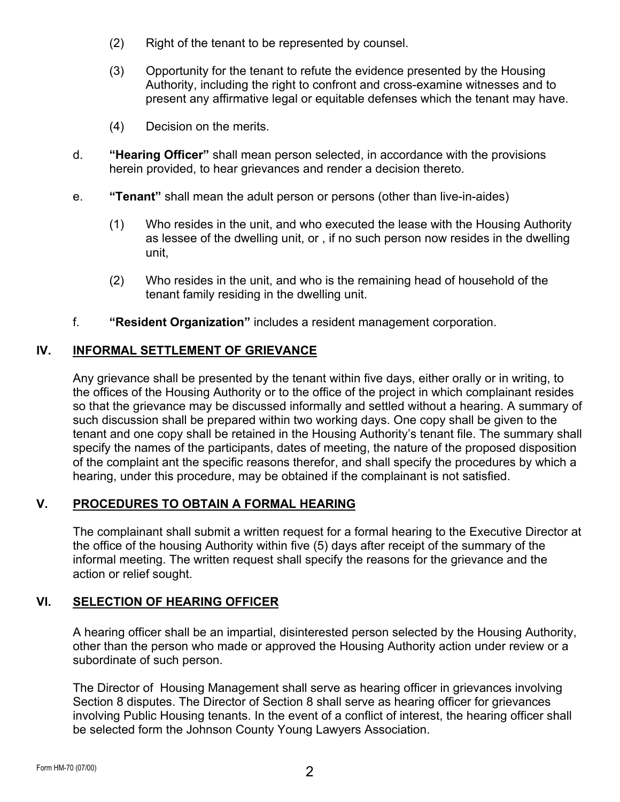- (2) Right of the tenant to be represented by counsel.
- (3) Opportunity for the tenant to refute the evidence presented by the Housing Authority, including the right to confront and cross-examine witnesses and to present any affirmative legal or equitable defenses which the tenant may have.
- (4) Decision on the merits.
- d. **"Hearing Officer"** shall mean person selected, in accordance with the provisions herein provided, to hear grievances and render a decision thereto.
- e. **"Tenant"** shall mean the adult person or persons (other than live-in-aides)
	- (1) Who resides in the unit, and who executed the lease with the Housing Authority as lessee of the dwelling unit, or , if no such person now resides in the dwelling unit,
	- (2) Who resides in the unit, and who is the remaining head of household of the tenant family residing in the dwelling unit.
- f. **"Resident Organization"** includes a resident management corporation.

# **IV. INFORMAL SETTLEMENT OF GRIEVANCE**

Any grievance shall be presented by the tenant within five days, either orally or in writing, to the offices of the Housing Authority or to the office of the project in which complainant resides so that the grievance may be discussed informally and settled without a hearing. A summary of such discussion shall be prepared within two working days. One copy shall be given to the tenant and one copy shall be retained in the Housing Authority's tenant file. The summary shall specify the names of the participants, dates of meeting, the nature of the proposed disposition of the complaint ant the specific reasons therefor, and shall specify the procedures by which a hearing, under this procedure, may be obtained if the complainant is not satisfied.

# **V. PROCEDURES TO OBTAIN A FORMAL HEARING**

The complainant shall submit a written request for a formal hearing to the Executive Director at the office of the housing Authority within five (5) days after receipt of the summary of the informal meeting. The written request shall specify the reasons for the grievance and the action or relief sought.

# **VI. SELECTION OF HEARING OFFICER**

A hearing officer shall be an impartial, disinterested person selected by the Housing Authority, other than the person who made or approved the Housing Authority action under review or a subordinate of such person.

The Director of Housing Management shall serve as hearing officer in grievances involving Section 8 disputes. The Director of Section 8 shall serve as hearing officer for grievances involving Public Housing tenants. In the event of a conflict of interest, the hearing officer shall be selected form the Johnson County Young Lawyers Association.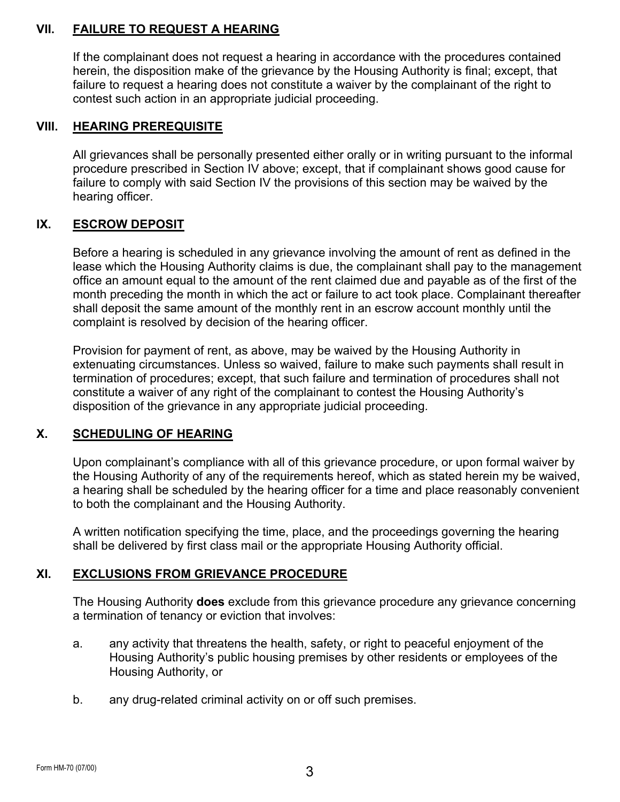# **VII. FAILURE TO REQUEST A HEARING**

If the complainant does not request a hearing in accordance with the procedures contained herein, the disposition make of the grievance by the Housing Authority is final; except, that failure to request a hearing does not constitute a waiver by the complainant of the right to contest such action in an appropriate judicial proceeding.

#### **VIII. HEARING PREREQUISITE**

All grievances shall be personally presented either orally or in writing pursuant to the informal procedure prescribed in Section IV above; except, that if complainant shows good cause for failure to comply with said Section IV the provisions of this section may be waived by the hearing officer.

# **IX. ESCROW DEPOSIT**

Before a hearing is scheduled in any grievance involving the amount of rent as defined in the lease which the Housing Authority claims is due, the complainant shall pay to the management office an amount equal to the amount of the rent claimed due and payable as of the first of the month preceding the month in which the act or failure to act took place. Complainant thereafter shall deposit the same amount of the monthly rent in an escrow account monthly until the complaint is resolved by decision of the hearing officer.

Provision for payment of rent, as above, may be waived by the Housing Authority in extenuating circumstances. Unless so waived, failure to make such payments shall result in termination of procedures; except, that such failure and termination of procedures shall not constitute a waiver of any right of the complainant to contest the Housing Authority's disposition of the grievance in any appropriate judicial proceeding.

# **X. SCHEDULING OF HEARING**

Upon complainant's compliance with all of this grievance procedure, or upon formal waiver by the Housing Authority of any of the requirements hereof, which as stated herein my be waived, a hearing shall be scheduled by the hearing officer for a time and place reasonably convenient to both the complainant and the Housing Authority.

A written notification specifying the time, place, and the proceedings governing the hearing shall be delivered by first class mail or the appropriate Housing Authority official.

# **XI. EXCLUSIONS FROM GRIEVANCE PROCEDURE**

The Housing Authority **does** exclude from this grievance procedure any grievance concerning a termination of tenancy or eviction that involves:

- a. any activity that threatens the health, safety, or right to peaceful enjoyment of the Housing Authority's public housing premises by other residents or employees of the Housing Authority, or
- b. any drug-related criminal activity on or off such premises.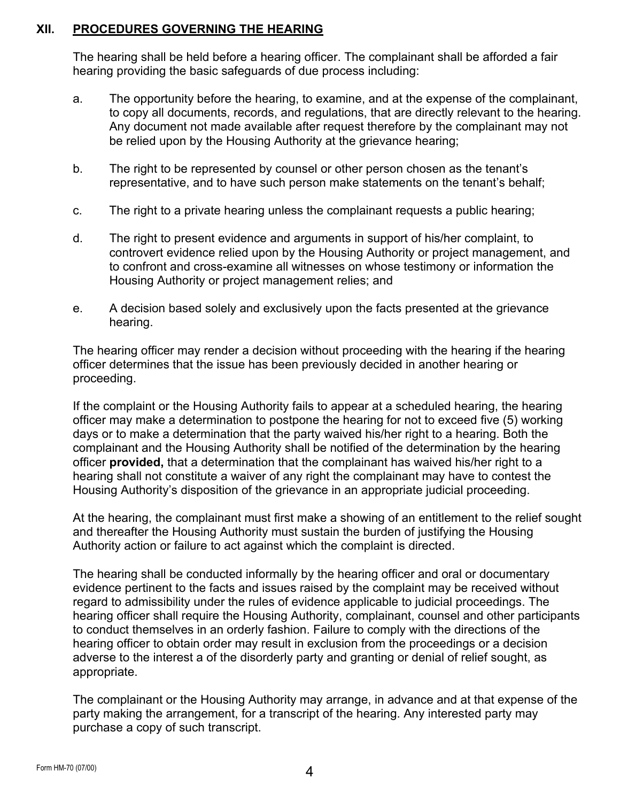#### **XII. PROCEDURES GOVERNING THE HEARING**

The hearing shall be held before a hearing officer. The complainant shall be afforded a fair hearing providing the basic safeguards of due process including:

- a. The opportunity before the hearing, to examine, and at the expense of the complainant, to copy all documents, records, and regulations, that are directly relevant to the hearing. Any document not made available after request therefore by the complainant may not be relied upon by the Housing Authority at the grievance hearing;
- b. The right to be represented by counsel or other person chosen as the tenant's representative, and to have such person make statements on the tenant's behalf;
- c. The right to a private hearing unless the complainant requests a public hearing;
- d. The right to present evidence and arguments in support of his/her complaint, to controvert evidence relied upon by the Housing Authority or project management, and to confront and cross-examine all witnesses on whose testimony or information the Housing Authority or project management relies; and
- e. A decision based solely and exclusively upon the facts presented at the grievance hearing.

The hearing officer may render a decision without proceeding with the hearing if the hearing officer determines that the issue has been previously decided in another hearing or proceeding.

If the complaint or the Housing Authority fails to appear at a scheduled hearing, the hearing officer may make a determination to postpone the hearing for not to exceed five (5) working days or to make a determination that the party waived his/her right to a hearing. Both the complainant and the Housing Authority shall be notified of the determination by the hearing officer **provided,** that a determination that the complainant has waived his/her right to a hearing shall not constitute a waiver of any right the complainant may have to contest the Housing Authority's disposition of the grievance in an appropriate judicial proceeding.

At the hearing, the complainant must first make a showing of an entitlement to the relief sought and thereafter the Housing Authority must sustain the burden of justifying the Housing Authority action or failure to act against which the complaint is directed.

The hearing shall be conducted informally by the hearing officer and oral or documentary evidence pertinent to the facts and issues raised by the complaint may be received without regard to admissibility under the rules of evidence applicable to judicial proceedings. The hearing officer shall require the Housing Authority, complainant, counsel and other participants to conduct themselves in an orderly fashion. Failure to comply with the directions of the hearing officer to obtain order may result in exclusion from the proceedings or a decision adverse to the interest a of the disorderly party and granting or denial of relief sought, as appropriate.

The complainant or the Housing Authority may arrange, in advance and at that expense of the party making the arrangement, for a transcript of the hearing. Any interested party may purchase a copy of such transcript.